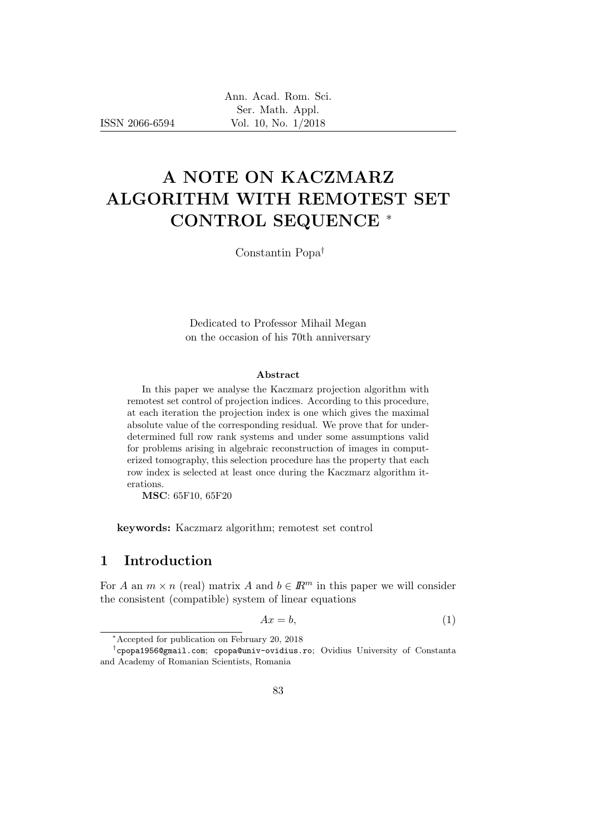# A NOTE ON KACZMARZ ALGORITHM WITH REMOTEST SET CONTROL SEQUENCE <sup>∗</sup>

Constantin Popa†

Dedicated to Professor Mihail Megan on the occasion of his 70th anniversary

#### Abstract

In this paper we analyse the Kaczmarz projection algorithm with remotest set control of projection indices. According to this procedure, at each iteration the projection index is one which gives the maximal absolute value of the corresponding residual. We prove that for underdetermined full row rank systems and under some assumptions valid for problems arising in algebraic reconstruction of images in computerized tomography, this selection procedure has the property that each row index is selected at least once during the Kaczmarz algorithm iterations.

MSC: 65F10, 65F20

keywords: Kaczmarz algorithm; remotest set control

# 1 Introduction

For A an  $m \times n$  (real) matrix A and  $b \in \mathbb{R}^m$  in this paper we will consider the consistent (compatible) system of linear equations

$$
Ax = b,\tag{1}
$$

<sup>∗</sup>Accepted for publication on February 20, 2018

<sup>†</sup> cpopa1956@gmail.com; cpopa@univ-ovidius.ro; Ovidius University of Constanta and Academy of Romanian Scientists, Romania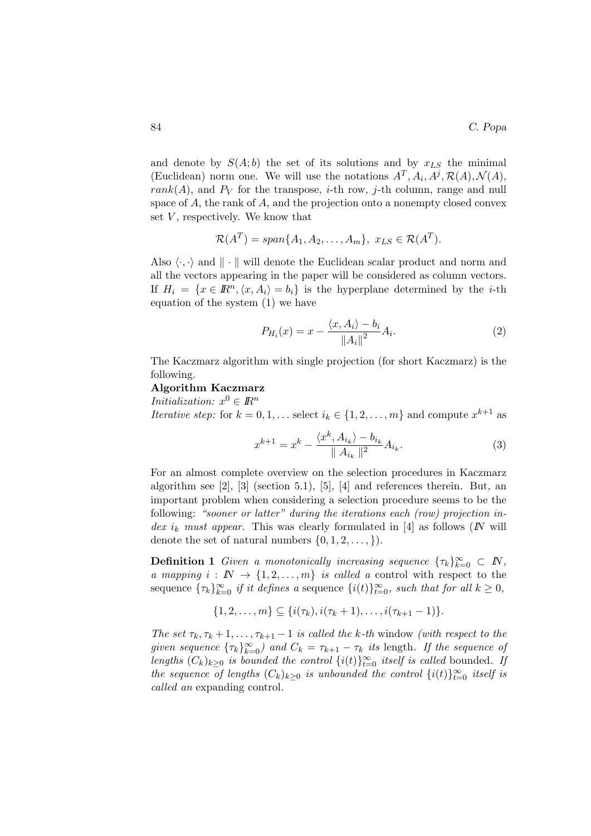and denote by  $S(A; b)$  the set of its solutions and by  $x_{LS}$  the minimal (Euclidean) norm one. We will use the notations  $A^T, A_i, A^j, \mathcal{R}(A), \mathcal{N}(A),$  $rank(A)$ , and  $P_V$  for the transpose, *i*-th row, *j*-th column, range and null space of A, the rank of A, and the projection onto a nonempty closed convex set  $V$ , respectively. We know that

$$
\mathcal{R}(A^T) = span\{A_1, A_2, \dots, A_m\}, \ x_{LS} \in \mathcal{R}(A^T).
$$

Also  $\langle \cdot, \cdot \rangle$  and  $\|\cdot\|$  will denote the Euclidean scalar product and norm and all the vectors appearing in the paper will be considered as column vectors. If  $H_i = \{x \in \mathbb{R}^n, \langle x, A_i \rangle = b_i\}$  is the hyperplane determined by the *i*-th equation of the system (1) we have

$$
P_{H_i}(x) = x - \frac{\langle x, A_i \rangle - b_i}{\|A_i\|^2} A_i.
$$
 (2)

The Kaczmarz algorithm with single projection (for short Kaczmarz) is the following.

### Algorithm Kaczmarz

*Initialization:*  $x^0 \in \mathbb{R}^n$ 

*Iterative step:* for  $k = 0, 1, \ldots$  select  $i_k \in \{1, 2, \ldots, m\}$  and compute  $x^{k+1}$  as

$$
x^{k+1} = x^k - \frac{\langle x^k, A_{i_k} \rangle - b_{i_k}}{\| A_{i_k} \|^2} A_{i_k}.
$$
 (3)

For an almost complete overview on the selection procedures in Kaczmarz algorithm see [2], [3] (section 5.1), [5], [4] and references therein. But, an important problem when considering a selection procedure seems to be the following: "sooner or latter" during the iterations each (row) projection index i<sub>k</sub> must appear. This was clearly formulated in [4] as follows (N will denote the set of natural numbers  $\{0, 1, 2, \ldots, \}$ .

**Definition 1** Given a monotonically increasing sequence  $\{\tau_k\}_{k=0}^{\infty} \subset N$ , a mapping  $i : \mathbb{N} \to \{1, 2, ..., m\}$  is called a control with respect to the sequence  $\{\tau_k\}_{k=0}^{\infty}$  if it defines a sequence  $\{i(t)\}_{t=0}^{\infty}$ , such that for all  $k \geq 0$ ,

$$
\{1,2,\ldots,m\} \subseteq \{i(\tau_k),i(\tau_k+1),\ldots,i(\tau_{k+1}-1)\}.
$$

The set  $\tau_k, \tau_k + 1, \ldots, \tau_{k+1} - 1$  is called the k-th window (with respect to the given sequence  ${\{\tau_k\}}_{k=0}^{\infty}$  and  $C_k = \tau_{k+1} - \tau_k$  its length. If the sequence of lengths  $(C_k)_{k\geq 0}$  is bounded the control  $\{i(t)\}_{t=0}^{\infty}$  itself is called bounded. If the sequence of lengths  $(C_k)_{k\geq 0}$  is unbounded the control  $\{i(t)\}_{t=0}^{\infty}$  itself is called an expanding control.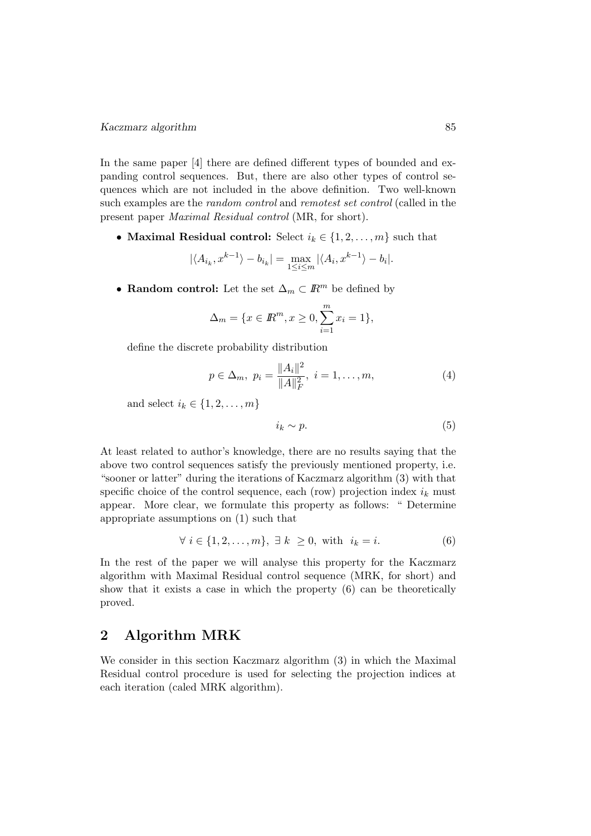#### Kaczmarz algorithm 85

In the same paper [4] there are defined different types of bounded and expanding control sequences. But, there are also other types of control sequences which are not included in the above definition. Two well-known such examples are the random control and remotest set control (called in the present paper Maximal Residual control (MR, for short).

• Maximal Residual control: Select  $i_k \in \{1, 2, ..., m\}$  such that

$$
|\langle A_{i_k}, x^{k-1} \rangle - b_{i_k}| = \max_{1 \le i \le m} |\langle A_i, x^{k-1} \rangle - b_i|.
$$

• Random control: Let the set  $\Delta_m \subset \mathbb{R}^m$  be defined by

$$
\Delta_m = \{ x \in \mathbb{R}^m, x \ge 0, \sum_{i=1}^m x_i = 1 \},\
$$

define the discrete probability distribution

$$
p \in \Delta_m, \ p_i = \frac{\|A_i\|^2}{\|A\|_F^2}, \ i = 1, \dots, m,
$$
 (4)

and select  $i_k \in \{1, 2, \ldots, m\}$ 

$$
i_k \sim p. \tag{5}
$$

At least related to author's knowledge, there are no results saying that the above two control sequences satisfy the previously mentioned property, i.e. "sooner or latter" during the iterations of Kaczmarz algorithm (3) with that specific choice of the control sequence, each (row) projection index  $i_k$  must appear. More clear, we formulate this property as follows: " Determine appropriate assumptions on (1) such that

$$
\forall i \in \{1, 2, \dots, m\}, \exists k \ge 0, \text{ with } i_k = i. \tag{6}
$$

In the rest of the paper we will analyse this property for the Kaczmarz algorithm with Maximal Residual control sequence (MRK, for short) and show that it exists a case in which the property (6) can be theoretically proved.

# 2 Algorithm MRK

We consider in this section Kaczmarz algorithm (3) in which the Maximal Residual control procedure is used for selecting the projection indices at each iteration (caled MRK algorithm).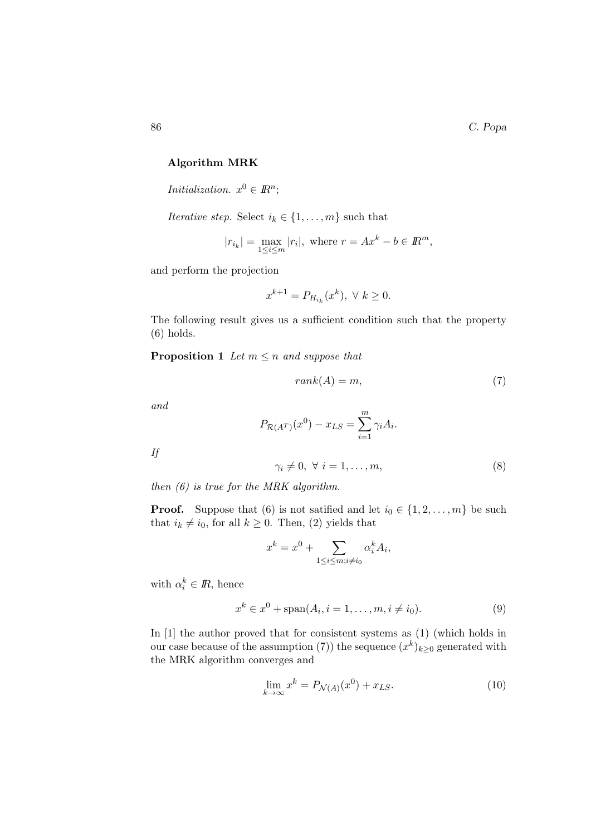## Algorithm MRK

*Initialization.*  $x^0 \in \mathbb{R}^n$ ;

Iterative step. Select  $i_k \in \{1, \ldots, m\}$  such that

$$
|r_{i_k}| = \max_{1 \le i \le m} |r_i|, \text{ where } r = Ax^k - b \in \mathbb{R}^m,
$$

and perform the projection

$$
x^{k+1}=P_{H_{i_k}}(x^k),\ \forall\ k\geq 0.
$$

The following result gives us a sufficient condition such that the property (6) holds.

**Proposition 1** Let  $m \leq n$  and suppose that

$$
rank(A) = m,\t\t(7)
$$

and

$$
P_{\mathcal{R}(A^T)}(x^0) - x_{LS} = \sum_{i=1}^m \gamma_i A_i.
$$

If

$$
\gamma_i \neq 0, \ \forall \ i = 1, \dots, m,\tag{8}
$$

then (6) is true for the MRK algorithm.

**Proof.** Suppose that (6) is not satified and let  $i_0 \in \{1, 2, ..., m\}$  be such that  $i_k \neq i_0$ , for all  $k \geq 0$ . Then, (2) yields that

$$
x^{k} = x^{0} + \sum_{1 \leq i \leq m; i \neq i_{0}} \alpha_{i}^{k} A_{i},
$$

with  $\alpha_i^k \in \mathbb{R}$ , hence

$$
x^{k} \in x^{0} + \text{span}(A_{i}, i = 1, ..., m, i \neq i_{0}).
$$
\n(9)

In [1] the author proved that for consistent systems as  $(1)$  (which holds in our case because of the assumption (7)) the sequence  $(x^k)_{k\geq 0}$  generated with the MRK algorithm converges and

$$
\lim_{k \to \infty} x^k = P_{\mathcal{N}(A)}(x^0) + x_{LS}.\tag{10}
$$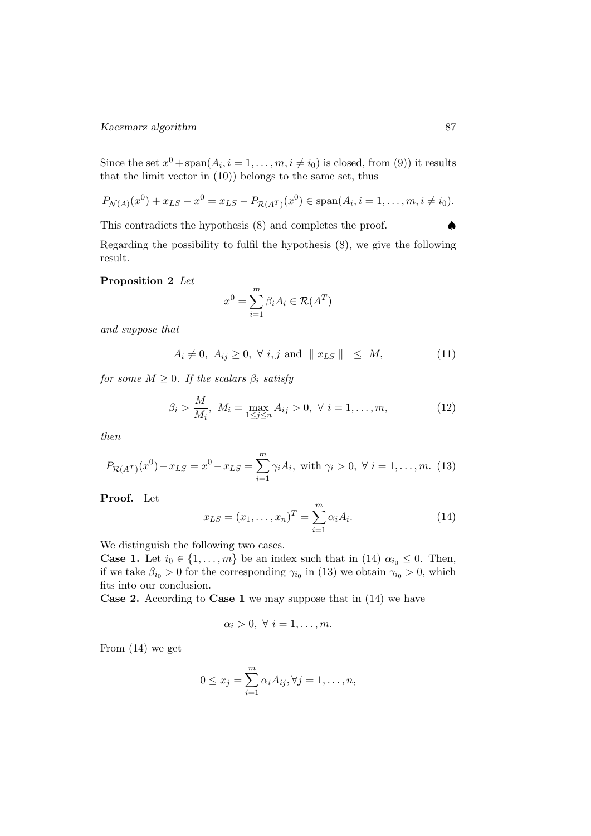Since the set  $x^0$  + span $(A_i, i = 1, ..., m, i \neq i_0)$  is closed, from (9)) it results that the limit vector in (10)) belongs to the same set, thus

$$
P_{\mathcal{N}(A)}(x^0) + x_{LS} - x^0 = x_{LS} - P_{\mathcal{R}(A^T)}(x^0) \in \text{span}(A_i, i = 1, ..., m, i \neq i_0).
$$

This contradicts the hypothesis  $(8)$  and completes the proof.

Regarding the possibility to fulfil the hypothesis (8), we give the following result.

## Proposition 2 Let

$$
x^0 = \sum_{i=1}^m \beta_i A_i \in \mathcal{R}(A^T)
$$

and suppose that

$$
A_i \neq 0, \ A_{ij} \geq 0, \ \forall \ i, j \ \text{and} \ \parallel x_{LS} \parallel \leq M,
$$
 (11)

for some  $M \geq 0$ . If the scalars  $\beta_i$  satisfy

$$
\beta_i > \frac{M}{M_i}, \ M_i = \max_{1 \le j \le n} A_{ij} > 0, \ \forall \ i = 1, ..., m,
$$
 (12)

then

$$
P_{\mathcal{R}(A^T)}(x^0) - x_{LS} = x^0 - x_{LS} = \sum_{i=1}^m \gamma_i A_i, \text{ with } \gamma_i > 0, \ \forall \ i = 1, ..., m. \tag{13}
$$

Proof. Let

$$
x_{LS} = (x_1, \dots, x_n)^T = \sum_{i=1}^m \alpha_i A_i.
$$
 (14)

We distinguish the following two cases.

**Case 1.** Let  $i_0 \in \{1, \ldots, m\}$  be an index such that in (14)  $\alpha_{i_0} \leq 0$ . Then, if we take  $\beta_{i_0} > 0$  for the corresponding  $\gamma_{i_0}$  in (13) we obtain  $\gamma_{i_0} > 0$ , which fits into our conclusion.

Case 2. According to Case 1 we may suppose that in (14) we have

$$
\alpha_i > 0, \ \forall \ i = 1, \dots, m.
$$

From (14) we get

$$
0 \le x_j = \sum_{i=1}^m \alpha_i A_{ij}, \forall j = 1, \dots, n,
$$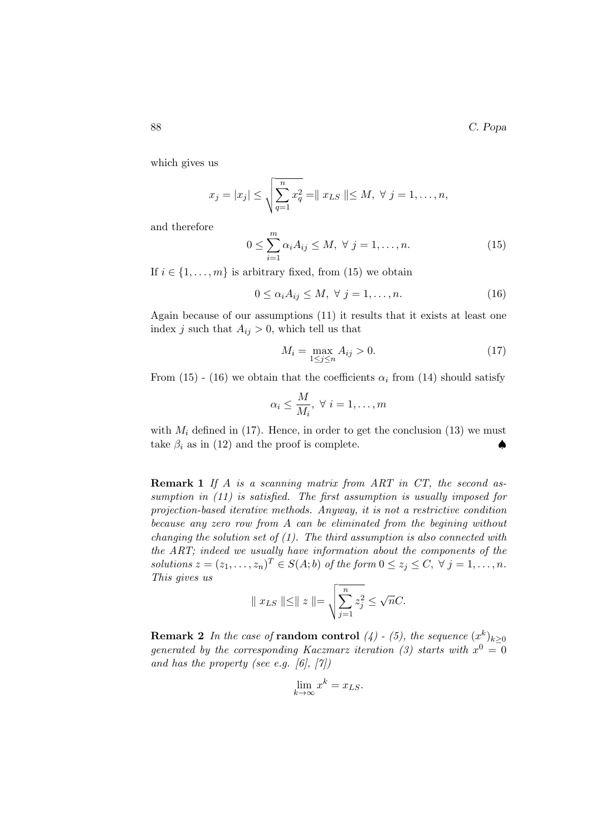which gives us

$$
x_j = |x_j| \le \sqrt{\sum_{q=1}^n x_q^2} = ||x_{LS}|| \le M, \ \forall \ j = 1, ..., n,
$$

and therefore

$$
0 \le \sum_{i=1}^{m} \alpha_i A_{ij} \le M, \ \forall \ j = 1, \dots, n. \tag{15}
$$

If  $i \in \{1, \ldots, m\}$  is arbitrary fixed, from (15) we obtain

$$
0 \le \alpha_i A_{ij} \le M, \ \forall \ j = 1, \dots, n. \tag{16}
$$

Again because of our assumptions (11) it results that it exists at least one index j such that  $A_{ij} > 0$ , which tell us that

$$
M_i = \max_{1 \le j \le n} A_{ij} > 0. \tag{17}
$$

From (15) - (16) we obtain that the coefficients  $\alpha_i$  from (14) should satisfy

$$
\alpha_i \le \frac{M}{M_i}, \ \forall \ i = 1, \dots, m
$$

with  $M_i$  defined in (17). Hence, in order to get the conclusion (13) we must take  $\beta_i$  as in (12) and the proof is complete.  $\blacklozenge$ 

Remark 1 If A is a scanning matrix from ART in CT, the second assumption in  $(11)$  is satisfied. The first assumption is usually imposed for projection-based iterative methods. Anyway, it is not a restrictive condition because any zero row from A can be eliminated from the begining without changing the solution set of  $(1)$ . The third assumption is also connected with the ART; indeed we usually have information about the components of the solutions  $z = (z_1, \ldots, z_n)^T \in S(A; b)$  of the form  $0 \le z_j \le C, \forall j = 1, \ldots, n$ . This gives us

$$
|| x_{LS} || \le || z || = \sqrt{\sum_{j=1}^{n} z_j^2} \le \sqrt{n}C.
$$

**Remark 2** In the case of **random control** (4) - (5), the sequence  $(x^k)_{k\geq 0}$ generated by the corresponding Kaczmarz iteration (3) starts with  $x^0 = 0$ and has the property (see e.g. [6],  $[7]$ )

$$
\lim_{k \to \infty} x^k = x_{LS}.
$$